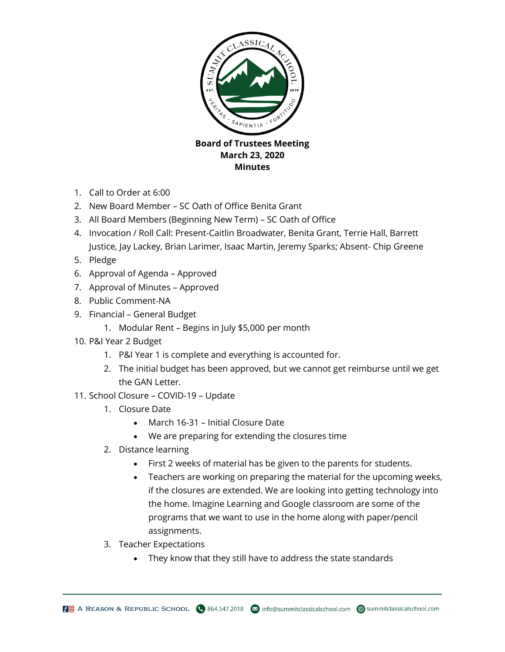

- 1. Call to Order at 6:00
- 2. New Board Member SC Oath of Office Benita Grant
- 3. All Board Members (Beginning New Term) SC Oath of Office
- 4. Invocation / Roll Call: Present-Caitlin Broadwater, Benita Grant, Terrie Hall, Barrett Justice, Jay Lackey, Brian Larimer, Isaac Martin, Jeremy Sparks; Absent- Chip Greene
- 5. Pledge
- 6. Approval of Agenda Approved
- 7. Approval of Minutes Approved
- 8. Public Comment-NA
- 9. Financial General Budget
	- 1. Modular Rent Begins in July \$5,000 per month
- 10. P&I Year 2 Budget
	- 1. P&I Year 1 is complete and everything is accounted for.
	- 2. The initial budget has been approved, but we cannot get reimburse until we get the GAN Letter.
- 11. School Closure COVID-19 Update
	- 1. Closure Date
		- March 16-31 Initial Closure Date
		- We are preparing for extending the closures time
	- 2. Distance learning
		- First 2 weeks of material has be given to the parents for students.
		- Teachers are working on preparing the material for the upcoming weeks, if the closures are extended. We are looking into getting technology into the home. Imagine Learning and Google classroom are some of the programs that we want to use in the home along with paper/pencil assignments.
	- 3. Teacher Expectations
		- They know that they still have to address the state standards